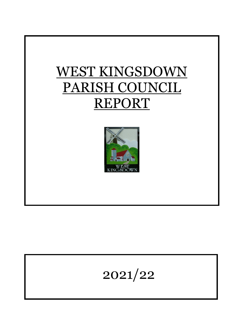



# 2021/22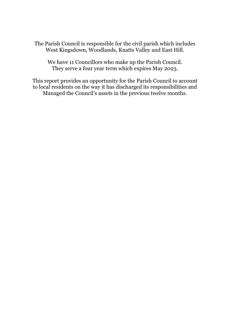The Parish Council is responsible for the civil parish which includes West Kingsdown, Woodlands, Knatts Valley and East Hill.

We have 11 Councillors who make up the Parish Council. They serve a four year term which expires May 2023.

This report provides an opportunity for the Parish Council to account to local residents on the way it has discharged its responsibilities and Managed the Council's assets in the previous twelve months.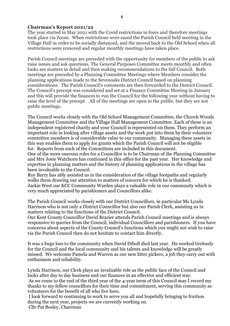### **Chairman's Report 2021/22**

The year started in May 2021 with the Covid restrictions in force and therefore meetings took place via Zoom. When restrictions were eased the Parish Council held meeting in the Village Hall in order to be socially distanced, and the moved back to the Old School when all restrictions were removed and regular monthly meetings have taken place.

Parish Council meetings are preceded with the opportunity for members of the public to ask raise issues and ask questions. The General Purposes Committee meets monthly and often looks are matters in detail and then making recommendations to the full Council. Both meetings are preceded by a Planning Committee Meetings where Members consider the planning applications made to the Sevenoaks District Council based on planning considerations. The Parish Council's comments are then forwarded to the District Council. The Council's precept was considered and set at a Finance Committee Meeting in January and this will provide the finances to run the Council for the following year without having to raise the level of the precept. All of the meetings are open to the public, but they are not public meetings.

The Council works closely with the Old School Management Committee, the Church Woods Management Committee and the Village Hall Management Committee. Each of these is an independent registered charity and your Council is represented on them. They perform an important role in looking after village assets and the work put into them by their volunteer committee members is of considerable value to our community. Managing these assets in this way enables them to apply for grants which the Parish Council will not be eligible for. Reports from each of the Committees are included in this document.

One of the more onerous roles for a Councillor is to be Chairman of the Planning Committee and Mrs Josie Watchorn has continued in this office for the past year. Her knowledge and expertise in planning matters and the history of planning applications in the village has been invaluable to the Council.

Roy Barry has ably assisted us in the consideration of the village footpaths and regularly walks them drawing our attention to matters of concern for which he is thanked. Jackie West our KCC Community Warden plays a valuable role in our community which is very much appreciated by parishioners and Councillors alike.

The Parish Council works closely with our District Councillors, in particular Ms Lynda Harrison who is not only a District Councillor but also our Parish Clerk, assisting us in matters relating to the functions of the District Council.

Our Kent County Councillor David Brazier attends Parish Council meetings and is always responsive to queries from the Council, individual Councillors and parishioners. If you have concerns about aspects of the County Council's functions which you might not wish to raise via the Parish Council then do not hesitate to contact him directly.

It was a huge loss to the community when David Diboll died last year. He worked tirelessly for the Council and the local community and his talents and knowledge will be greatly missed. We welcome Pamela and Warren as our new litter pickers, a job they carry out with enthusiasm and reliability.

Lynda Harrison, our Clerk plays an invaluable role as the public face of the Council and looks after day to day business and our finances in an effective and efficient way.

As we come to the end of the third year of the 4-year term of this Council may I record my thanks to my fellow councillors for their time and commitment, serving this community as volunteers for the benefit of all who live here.

I look forward to continuing to work to serve you all and hopefully bringing to fruition during the next year, projects we are currently working on.

Cllr Pat Bosley, Chairman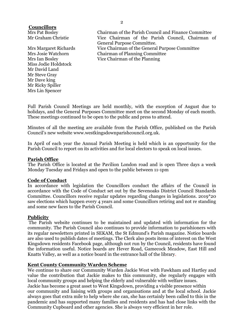## **Councillors**

Miss Jodie Holdstock Mr David Land Mr Steve Gray Mr Dave king Mr Ricky Spiller Mrs Lin Spencer

Mrs Pat Bosley Chairman of the Parish Council and Finance Committee Mr Graham Christie Vice Chairman of the Parish Council, Chairman of General Purpose Committee. Mrs Margaret Richards Vice Chairman of the General Purpose Committee Mrs Josie Watchorn Chairman of Planning Committee Mrs Ian Bosley Vice Chairman of the Planning

Full Parish Council Meetings are held monthly, with the exception of August due to holidays, and the General Purposes Committee meet on the second Monday of each month. These meetings continued to be open to the public and press to attend.

Minutes of all the meeting are available from the Parish Office, published on the Parish Council's new website www.westkingsdownparishcouncil.org.uk.

In April of each year the Annual Parish Meeting is held which is an opportunity for the Parish Council to report on its activities and for local electors to speak on local issues.

## **Parish Office**

The Parish Office is located at the Pavilion London road and is open Three days a week Monday Tuesday and Fridays and open to the public between 11-1pm

#### **Code of Conduct**

In accordance with legislation the Councillors conduct the affairs of the Council in accordance with the Code of Conduct set out by the Sevenoaks District Council Standards Committee. Councillors receive regular updates regarding changes in legislations. 2019\*20 saw elections which happen every 4 years and some Councillors retiring and not re standing and some new faces to the Parish Council.

## **Publicity**

The Parish website continues to be maintained and updated with information for the community. The Parish Council also continues to provide information to parishioners with its regular newsletters printed in SEKAM, the St Edmund's Parish magazine. Notice boards are also used to publish dates of meetings. The Clerk also posts items of interest on the West Kingsdown residents Facebook page, although not run by the Council, residents have found the information useful. Notice boards are Hever Road, Gamecock Meadow, East Hill and Knatts Valley, as well as a notice board in the entrance hall of the library.

## **Kent County Community Warden Scheme**

We continue to share our Community Warden Jackie West with Fawkham and Hartley and value the contribution that Jackie makes to this community, she regularly engages with local community groups and helping the elderly and vulnerable with welfare issues.

Jackie has become a great asset to West Kingsdown, providing a visible presence within our community and liaising with groups and organisations and at the local school. Jackie always goes that extra mile to help where she can, she has certainly been called to this in the pandemic and has supported many families and residents and has had close links with the Community Cupboard and other agencies. She is always very efficient in her role.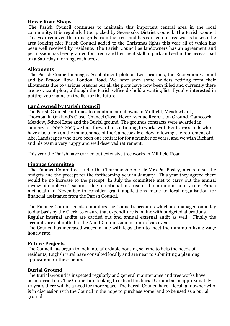## **Hever Road Shops**

The Parish Council continues to maintain this important central area in the local community. It is regularly litter picked by Sevenoaks District Council. The Parish Council This year removed the irons grids from the trees and has carried out tree works to keep the area looking nice Parish Council added to the Christmas lights this year all of which has been well received by residents. The Parish Council as landowners has an agreement and permission has been granted for Freda and her meat stall to park and sell in the access road on a Saturday morning, each week.

#### **Allotments**

The Parish Council manages 26 allotment plots at two locations, the Recreation Ground and by Beacon Row, London Road. We have seen some holders retiring from their allotments due to various reasons but all the plots have now been filled and currently there are no vacant plots, although the Parish Office do hold a waiting list if you're interested in putting your name on the list for the future.

## **Land owned by Parish Council**

The Parish Council continues to maintain land it owns in Millfield, Meadowbank, Thornbank, Oakland's Close, Chancel Close, Hever Avenue Recreation Ground, Gamecock Meadow, School Lane and the Burial ground. The grounds contracts were awarded in January for 2022-2025 we look forward to continuing to works with Kent Grasslands who have also taken on the maintenance of the Gamecock Meadow following the retirement of Abel Landscapes who have been our contractor for a number of years, and we wish Richard and his team a very happy and well deserved retirement.

This year the Parish have carried out extensive tree works in Millfield Road

#### **Finance Committee**

The Finance Committee, under the Chairmanship of Cllr Mrs Pat Bosley, meets to set the budgets and the precept for the forthcoming year in January. This year they agreed there would be no increase to the precept. In July the committee met to carry out the annual review of employee's salaries, due to national increase in the minimum hourly rate. Parish met again in November to consider grant applications made to local organisation for financial assistance from the Parish Council.

The Finance Committee also monitors the Council's accounts which are managed on a day to day basis by the Clerk, to ensure that expenditure is in line with budgeted allocations.

Regular internal audits are carried out and annual external audit as well. Finally the accounts are submitted to the Audit Commission in June of each year.

The Council has increased wages in-line with legislation to meet the minimum living wage hourly rate.

#### **Future Projects**

The Council has begun to look into affordable housing scheme to help the needs of residents, English rural have consulted locally and are near to submitting a planning application for the scheme.

#### **Burial Ground**

The Burial Ground is inspected regularly and general maintenance and tree works have been carried out. The Council are looking to extend the burial Ground as in approximately 10 years there will be a need for more space. The Parish Council have a local landowner who is in discussion with the Council in the hope to purchase some land to be used as a burial ground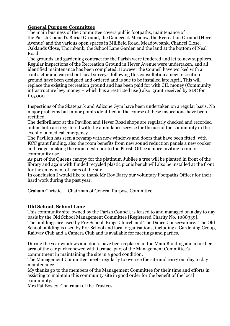# **General Purpose Committee**

The main business of the Committee covers public footpaths, maintenance of the Parish Council's Burial Ground, the Gamecock Meadow, the Recreation Ground (Hever Avenue) and the various open spaces in Millfield Road, Meadowbank, Chancel Close, Oaklands Close, Thornbank, the School Lane Garden and the land at the bottom of Neal Road.

The grounds and gardening contract for the Parish were tendered and let to new suppliers. Regular inspections of the Recreation Ground in Hever Avenue were undertaken, and all identified maintenance has been completed. However the Council have worked with a contractor and carried out local surveys, following this consultation a new recreation ground have been designed and ordered and is sue to be installed late April, This will replace the existing recreation ground and has been paid for with CIL money (Community infrastructure levy money – which has a restricted use ) also grant received by SDC for £15,000

Inspections of the Skatepark and Adizone Gym have been undertaken on a regular basis. No major problems but minor points identified in the course of these inspections have been rectified.

The defibrillator at the Pavilion and Hever Road shops are regularly checked and recorded online both are registered with the ambulance service for the use of the community in the event of a medical emergency.

The Pavilion has seen a revamp with new windows and doors that have been fitted, with KCC grant funding, also the room benefits from new sound reduction panels a new cooker and fridge making the room next door to the Parish Office a more inviting room for community use.

As part of the Queens canopy for the platinum Jubilee a tree will be planted in front of the library and again with funded recycled plastic picnic bench will also be installed at the front for the enjoyment of users of the site.

In conclusion I would like to thank Mr Roy Barry our voluntary Footpaths Officer for their hard work during the past year.

Graham Christie – Chairman of General Purpose Committee

# **Old School, School Lane**

This community site, owned by the Parish Council, is leased to and managed on a day to day basis by the Old School Management Committee [Registered Charity No. 1088339]. The buildings are used by Pre-School, Kings Church and The Dance Conservatoire. The Old School building is used by Pre-School and local organisations, including a Gardening Group, Railway Club and a Camera Club and is available for meetings and parties.

During the year windows and doors have been replaced in the Main Building and a further area of the car park renewed with tarmac, part of the Management Committee's commitment in maintaining the site in a good condition.

The Management Committee meets regularly to oversee the site and carry out day to day maintenance.

My thanks go to the members of the Management Committee for their time and efforts in assisting to maintain this community site in good order for the benefit of the local community.

Mrs Pat Bosley, Chairman of the Trustees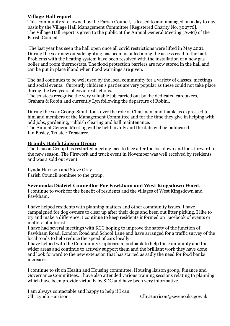## **Village Hall report**

This community site, owned by the Parish Council, is leased to and managed on a day to day basis by the Village Hall Management Committee [Registered Charity No. 302776]. The Village Hall report is given to the public at the Annual General Meeting (AGM) of the Parish Council.

The last year has seen the hall open once all covid restrictions were lifted in May 2021. During the year new outside lighting has been installed along the access road to the hall. Problems with the heating system have been resolved with the installation of a new gas boiler and room thermostats. The flood protection barriers are now stored in the hall and can be put in place if and when flood warnings are given.

The hall continues to be well used by the local community for a variety of classes, meetings and social events. Currently children's parties are very popular as these could not take place during the two years of covid restrictions.

The trustees recognise the very valuable job carried out by the dedicated caretakers, Graham & Robin and currently Lyn following the departure of Robin..

During the year George Smith took over the role of Chairman, and thanks is expressed to him and members of the Management Committee and for the time they give in helping with odd jobs, gardening, rubbish clearing and hall maintenance.

The Annual General Meeting will be held in July and the date will be publicised. Ian Bosley, Trustee Treasurer.

## **Brands Hatch Liaison Group**

The Liaison Group has restarted meeting face to face after the lockdown and look forward to the new season. The Firework and truck event in November was well received by residents and was a sold out event.

Lynda Harrison and Steve Gray Parish Council nominee to the group.

# **Sevenoaks District Councillor For Fawkham and West Kingsdown Ward**.

I continue to work for the benefit of residents and the villages of West Kingsdown and Fawkham.

I have helped residents with planning matters and other community issues, I have campaigned for dog owners to clear up after their dogs and been out litter picking. I like to try and make a difference. I continue to keep residents informed on Facebook of events or matters of interest.

I have had several meetings with KCC hoping to improve the safety of the junction of Fawkham Road, London Road and School Lane and have arranged for a traffic survey of the local roads to help reduce the speed of cars locally.

I have helped with the Community Cupboard a foodbank to help the community and the wider areas and continue to actively support them and the brilliant work they have done and look forward to the new extension that has started as sadly the need for food banks increases.

I continue to sit on Health and Housing committee, Housing liaison group, Finance and Governance Committees. I have also attended various training sessions relating to planning which have been provide virtually by SDC and have been very informative.

I am always contactable and happy to help if I can

 $Cllr. Harrison@sevenoaks.gov.uk$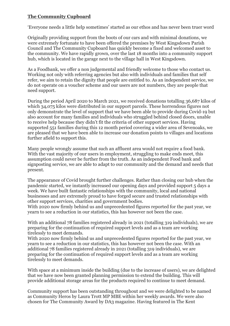# **The Community Cupboard**

'Everyone needs a little help sometimes' started as our ethos and has never been truer word

Originally providing support from the boots of our cars and with minimal donations, we were extremely fortunate to have been offered the premises by West Kingsdown Parish Council and The Community Cupboard has quickly become a fixed and welcomed asset to the community. We have rapidly grown, over the last 18 months into a community support hub, which is located in the garage next to the village hall in West Kingsdown.

As a Foodbank, we offer a non judgemental and friendly welcome to those who contact us. Working not only with referring agencies but also with individuals and families that self refer, we aim to retain the dignity that people are entitled to. As an independent service, we do not operate on a voucher scheme and our users are not numbers, they are people that need support.

During the period April 2020 to March 2021, we received donations totalling 36,687 kilos of which 34,075 kilos were distributed in our support parcels. These horrendous figures not only demonstrate the level of support that we have been able to provide during Covid-19 but also account for many families and individuals who struggled behind closed doors, unable to receive help because they didn't fit the criteria of other support services. Having supported 551 families during this 12 month period covering a wider area of Sevenoaks, we are pleased that we have been able to increase our donation points to villages and locations further afield to support this.

Many people wrongly assume that such an affluent area would not require a food bank. With the vast majority of our users in employment, struggling to make ends meet, this assumption could never be further from the truth. As an independent Food bank and signposting service, we are able to adapt to our community and the demand and needs that present.

The appearance of Covid brought further challenges. Rather than closing our hub when the pandemic started, we instantly increased our opening days and provided support 5 days a week. We have built fantastic relationships with the community, local and national businesses and are extremely proud to have forged secure and trusted relationships with other support services, charities and government bodies.

With 2020 now firmly behind us and unprecedented figures reported for the past year, we yearn to see a reduction in our statistics, this has however not been the case.

With an additional 78 families registered already in 2021 (totalling 319 individuals), we are preparing for the continuation of required support levels and as a team are working tirelessly to meet demands.

With 2020 now firmly behind us and unprecedented figures reported for the past year, we yearn to see a reduction in our statistics, this has however not been the case. With an additional 78 families registered already in 2021 (totalling 319 individuals), we are preparing for the continuation of required support levels and as a team are working tirelessly to meet demands.

With space at a minimum inside the building (due to the increase of users), we are delighted that we have now been granted planning permission to extend the building. This will provide additional storage areas for the products required to continue to meet demand.

Community support has been outstanding throughout and we were delighted to be named as Community Heros by Laura Trott MP MBE within her weekly awards. We were also chosen for The Community Award by DA3 magazine. Having featured in The Kent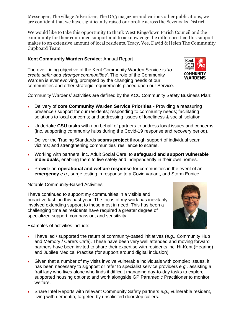Messenger, The village Advertiser, The DA3 magazine and various other publications, we are confident that we have significantly raised our profile across the Sevenoaks District.

We would like to take this opportunity to thank West Kingsdown Parish Council and the community for their continued support and to acknowledge the difference that this support makes to an extensive amount of local residents. Tracy, Vee, David & Helen The Community Cupboard Team

# **Kent Community Warden Service**: Annual Report

The over-riding objective of the Kent Community Warden Service is *'to create safer and stronger communities'.* The role of the Community Warden is ever evolving, prompted by the changing needs of our communities and other strategic requirements placed upon our Service.



Community Wardens' activities are defined by the KCC Community Safety Business Plan:

- Delivery of **core Community Warden Service Priorities** Providing a reassuring presence / support for our residents; responding to community needs; facilitating solutions to local concerns; and addressing issues of loneliness & social isolation.
- Undertake **CSU tasks** with / on behalf of partners to address local issues and concerns (inc. supporting community hubs during the Covid-19 response and recovery period).
- Deliver the Trading Standards **scams project** through support of individual scam victims; and strengthening communities' resilience to scams.
- Working with partners, inc. Adult Social Care, to **safeguard and support vulnerable individuals**, enabling them to live safely and independently in their own homes.
- Provide an **operational and welfare response** for communities in the event of an **emergency** *e.g.,* surge testing in response to a Covid variant, and Storm Eunice.

#### Notable Community-Based Activities

I have continued to support my communities in a visible and proactive fashion this past year. The focus of my work has inevitably involved extending support to those most in need. This has been a challenging time as residents have required a greater degree of specialized support, compassion, and sensitivity.



Examples of activities include:

- I have led / supported the return of community-based initiatives (*e.g.,* Community Hub and Memory / Carers Café). These have been very well attended and moving forward partners have been invited to share their expertise with residents inc. Hi-Kent (Hearing) and Jubilee Medical Practise (for support around digital inclusion).
- Given that a number of my visits involve vulnerable individuals with complex issues, it has been necessary to signpost or refer to specialist service providers *e.g.,* assisting a frail lady who lives alone who finds it difficult managing day-to-day tasks to explore supported housing options; and work alongside GP Paramedic Practitioner to monitor welfare.
- Share Intel Reports with relevant Community Safety partners *e.g.,* vulnerable resident, living with dementia, targeted by unsolicited doorstep callers.